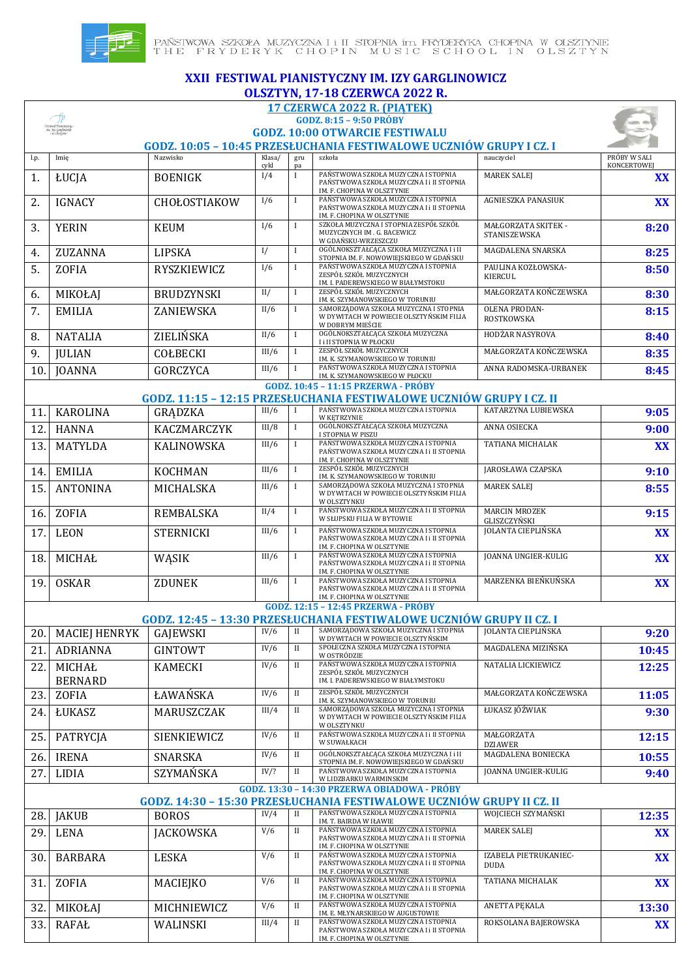

## **XXII FESTIWAL PIANISTYCZNY IM. IZY GARGLINOWICZ OLSZTYN, 17-18 CZERWCA 2022 R. 17 CZERWCA 2022 R. (PIĄTEK)** -fb **GODZ. 8:15 – 9:50 PRÓBY** Festional Pianistyczn<br>im. Jzy Garylinowici<br>con Charanter **GODZ. 10:00 OTWARCIE FESTIWALU GODZ. 10:05 – 10:45 PRZESŁUCHANIA FESTIWALOWE UCZNIÓW GRUPY I CZ. I** szkoła **nauczyciel PRÓBY W SALI** l.p. Imię Nazwisko Klasa/ gru cykl KONCERTOWE pa MAREK SALEJ **XX** 1. ŁUCJA BOENIGK <sup>1/4</sup> <sup>I</sup> PAŃSTWOWA SZKOŁA MUZYCZNA I STOPNIA **PAŃSTWOWA SZKOŁA MUZYCZNA I STOPNIA** IM. F. CHOPINA W OLSZTYNIE<br>PAŃSTWOWA SZKOŁA MUZYCZNA I STOPNIA AGNIESZKA PANASIUK **XX** 2. GNACY CHOŁOSTIAKOW <sup>1/6</sup> <sup>I</sup> PAŃSTWOWA SZKOŁA MUZYCZNA I STOPNIA **PAŃSTWOWA SZKOŁA MUZYCZNA I 1 II STOPNIA** IM. F. CHOPINA W OLSZTYNIE 3. YERIN KEUM I/6 I SZKOŁA MUZYCZNA I STOPNIA ZESPÓŁ SZKÓŁ MAŁGORZATA SKITEK - **8:20** MUZYCZNYCH IM . G. BACEWICZ STANISZEWSKA W GDAŃSKU-WRZESZCZU MAGDALENA SNARSKA **8:25** 4. ZUZANNA LIPSKA I<sup>I/</sup> I ogólnokształcąca szkoła muzyczna i ii i zw. polityka i iii i zw. polityka muzyczna i ii 5. ZOFIA RYSZKIEWICZ <sup>1/6</sup> I PAŃSTWOWA SZKOŁA MUZYCZNA I STOPNIA PAULINA KOZŁOWSKA-**8:50** KIERCUL IM. I. PADEREWSKIEGO W BIAŁYMSTOKU MAŁGORZATA KOŃCZEWSKA **8:30** 6. MIKOŁAJ BRUDZYNSKI II/ I ZESPÓŁ SZKÓŁ MUZYCZNYCH OLENA PRODAN-7. EMILIA ZANIEWSKA II/6 I SAMORZĄDOWA SZKOŁA MUZYCZNA I STOPNIA Z ZANIEWSKA **8:15** ROSTKOWSKA W DOBRYM MIEŚCIE 8. NATALIA ZIELIŃSKA II/6 I OGÓLNOKSZTAŁCĄCA SZKOŁA MUZYCZNA HODŻAR NASYROVA **8:40 I i II STOPNIA W PŁOCKU<br>ZESPÓŁ SZKÓŁ MIIZYCZNYCH** MAŁGORZATA KOŃCZEWSKA **8:35** 9. JULIAN COŁBECKI III/6 I ZESPÓŁ SZKÓŁ MUZYCZNYCH (POLIAN COŁBECKI III/6 III/6 III/6 K SZYMANOWSKIEGO W TORUNIU 10. JOANNA GORCZYCA III/6 I PAŃSTWOWA SZKOŁA MUZYCZNA I STOPNIA ANNA RADOMSKA-URBANEK **8:45** IM. K. SZYMANOWSKIEGO W PŁOCKU **GODZ. 10:45 – 11:15 PRZERWA - PRÓBY GODZ. 11:15 – 12:15 PRZESŁUCHANIA FESTIWALOWE UCZNIÓW GRUPY I CZ. II** 11. KAROLINA GRADZKA III/6 I PAŃSTWOWA SZKOŁA MUZYCZNA I STOPNIA KATARZYNA LUBIEWSKA **9:05** W KETRZYNIE 12. HANNA KACZMARCZYK III/8 I OGÓLNOKSZTAŁCĄCA SZKOŁA MUZYCZNA ANNA OSIECKA **9:00** I STOPNIA W PISZU<br>PAŃSTWOWA SZKOŁA MUZYCZNA I STOPNIA TATIANA MICHALAK **XX** 13. MATYLDA KALINOWSKA III/6 I PAŃSTWOWA SZKOŁA MUZYCZNA I STOPNIA III STOPNIA IM. F. CHOPINA W OLSZTYNIE JAROSŁAWA CZAPSKA **9:10** 14. EMILIA KOCHMAN III/6 I ZESPÓŁ SZKÓŁ MUZYCZNYCH 15. ANTONINA MICHALSKA III/6 I SAMORZĄDOWA SZKOŁA MUZYCZNA I STOPNIA MAREK SALEJ **8:55** W DYWITACH W POWIECIE OLSZTYŃSKIM FILIA W OLSZTYNKU 16. ZOFIA REMBALSKA II/4 I PAŃSTWOWA SZKOŁA MUZYCZNA I II STOPNIA MARCIN MROZEK MARCIN MROZEK<br>GLISZCZYŃSKI**SZYŃSKI** W SŁUPSKU FILIA W BYTOWIE JOLANTA CIEPLIŃSKA **XX** 17. LEON STERNICKI III/6 I PAŃSTWOWA SZKOŁA MUZYCZNA I STOPNIA STOPNIA STOPNIA PAŃSTWOWA SZKOŁA MUZYCZNA I III STOPNIA IM. F. CHOPINA W OLSZTYNIE 18. MICHAŁ WĄSIK III/6 I PAŃSTWOWA SZKOŁA MUZYCZNA I STOPNIA<br>PAŃSTWOWA SZKOŁA MUZYCZNA I i II STOPNIA JOANNA UNGIER-KULIG **XX** IM. F. CHOPINA W OLSZTYNIE<br>PAŃSTWOWA SZKOŁA MUZYCZNA I STOPNIA MARZENKA BIEŃKUŃSKA **XX** 19. OSKAR ZDUNEK III/6 I PAŃSTWOWA SZKOŁA MUZYCZNA I STOPNIA III STOPNIA IM. F. CHOPINA W OLSZTYNIE **GODZ. 12:15 – 12:45 PRZERWA - PRÓBY GODZ. 12:45 – 13:30 PRZESŁUCHANIA FESTIWALOWE UCZNIÓW GRUPY II CZ. I** 20. MACIEJ HENRYK GAJEWSKI IV/6 II JOLANTA CIEPLIŃSKA **9:20** W DYWITACH W POWIECIE OLSZTYŃSKIM 21. ADRIANNA GINTOWT | IV/6 II SPOŁECZNA SZKOŁA MUZYCZNA I STOPNIA MAGDALENA MIZIŃSKA **10:45** W OSTRÓDZIE NATALIA LICKIEWICZ **12:25** 22. MICHAŁ KAMECKI IV/6 II PAŃSTWOWA SZKOŁA MUZYCZNA I STOPNIA<br>ZESPÓŁ SZKÓŁ MUZYCZNYCH BERNARD IM. I. PADEREWSKIEGO W BIAŁYMSTOKU MAŁGORZATA KOŃCZEWSKA **11:05** 23. ZOFIA | ŁAWAŃSKA | IV/6 | II | ZESPÓŁ SZKÓŁ MUZYCZNYCH | ZESPÓŁ SZKÓŁ MUZYCZNYCH | ŁAWAŃSKA ŁUKASZ JÓŹWIAK **9:30** 24. ŁUKASZ MARUSZCZAK III/4 II SAMORZĄDOWA SZKOŁA MUZYCZNA I STOPNIA Z MARUSZCZAK I STOPNIA Z W DYWITACH W POWIECIE OLSZTYŃSKIM FILIA W OLSZTYNKU 25. PATRYCIA SIENKIEWICZ IV/6 II PAŃSTWOWA SZKOŁA MUZYCZNA I i II STOPNIA MAŁ CORZATA **12:15** W SUWAŁKACH DZIAWER 26. IRENA SNARSKA IV/6 II OGÓLNOKSZTAŁCĄCA SZKOŁA MUZYCZNA I II MAGDALENA BONIECKA **10:55** STOPNIA IM. F. NOWOWIEJSKIEGO W GDAŃSKU 27. LIDIA SZYMAŃSKA IV/? II PAŃSTWOWA SZKOŁA MUZYCZNA I STOPNIA JOANNA UNGIER-KULIG **9:40** W LIDZBARKU WARMINSKIM **GODZ. 13:30 – 14:30 PRZERWA OBIADOWA - PRÓBY GODZ. 14:30 – 15:30 PRZESŁUCHANIA FESTIWALOWE UCZNIÓW GRUPY II CZ. II** WOJCIECH SZYMAŃSKI **12:35** 28. JAKUB BOROS IV/4 II PAŃSTWOWA SZKOŁA MUZYCZNA I STOPNIA **IM. T. BAIRDA W IŁAWIE<br>PAŃSTWOWA SZKOŁA MIIZYCZNA I STOPNIA** MAREK SALEJ **XX** 29. LENA JACKOWSKA V/6 II PAŃSTWOWA SZKOŁA MUZYCZNA I STOPNIA V VERNIA V V HORNIA PAŃSTWOWA SZKOŁA MUZYCZNA I III STOPNIA IM. F. CHOPINA W OLSZTYNIE IZABELA PIETRUKANIEC-30. BARBARA LESKA V/6 II PAŃSTWOWA SZKOŁA MUZYCZNA I STOPNIA<br>
PAŃSTWOWA SZKOŁA MUZYCZNA I II STOPNIA<br>
M. F. CHOPINA W OLSZTYNIE **XX** DUDA 31. ZOFIA MACIEJKO V/6 II PAŃSTWOWA SZKOŁA MUZYCZNA I STOPNIA TATIANA MICHALAK **XX** PAŃSTWOWA SZKOŁA MUZYCZNA I i II STOPNIA IM. F. CHOPINA W OLSZTYNIE ANETTA PĘKALA **13:30** 32. MIKOŁAJ MICHNIEWICZ V/6 II PAŃSTWOWA SZKOŁA MUZYCZNA I STOPNIA 33. RAFAŁ WALINSKI III/4 II PAŃSTWOWA SZKOŁA MUZYCZNA I STOPNIA ROKSOLANA BAJEROWSKA **XX**PAŃSTWOWA SZKOŁA MUZYCZNA I i II STOPNIA IM. F. CHOPINA W OLSZTYNIE